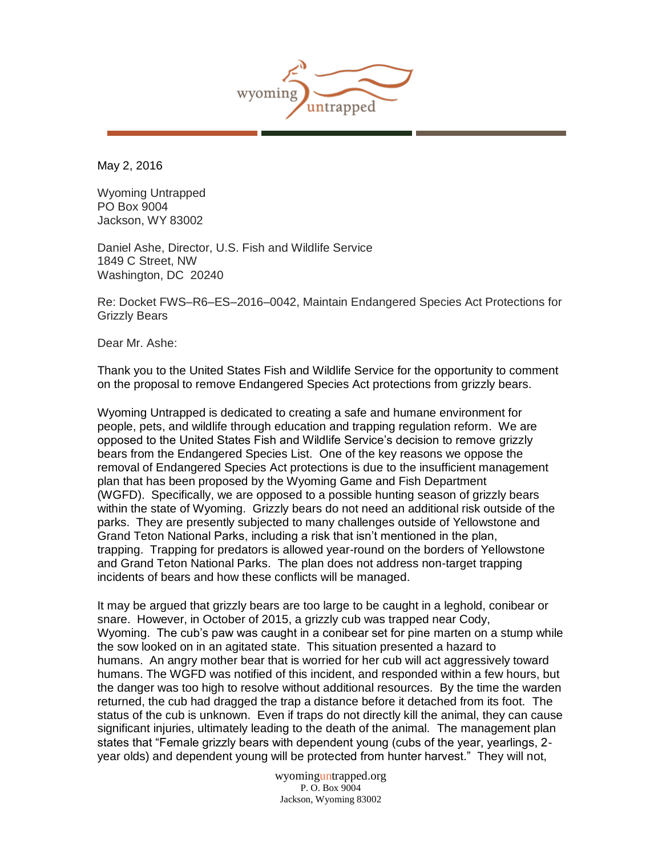

May 2, 2016

Wyoming Untrapped PO Box 9004 Jackson, WY 83002

Daniel Ashe, Director, U.S. Fish and Wildlife Service 1849 C Street, NW Washington, DC 20240

Re: Docket FWS–R6–ES–2016–0042, Maintain Endangered Species Act Protections for Grizzly Bears

Dear Mr. Ashe:

Thank you to the United States Fish and Wildlife Service for the opportunity to comment on the proposal to remove Endangered Species Act protections from grizzly bears.

Wyoming Untrapped is dedicated to creating a safe and humane environment for people, pets, and wildlife through education and trapping regulation reform. We are opposed to the United States Fish and Wildlife Service's decision to remove grizzly bears from the Endangered Species List. One of the key reasons we oppose the removal of Endangered Species Act protections is due to the insufficient management plan that has been proposed by the Wyoming Game and Fish Department (WGFD). Specifically, we are opposed to a possible hunting season of grizzly bears within the state of Wyoming. Grizzly bears do not need an additional risk outside of the parks. They are presently subjected to many challenges outside of Yellowstone and Grand Teton National Parks, including a risk that isn't mentioned in the plan, trapping. Trapping for predators is allowed year-round on the borders of Yellowstone and Grand Teton National Parks. The plan does not address non-target trapping incidents of bears and how these conflicts will be managed.

It may be argued that grizzly bears are too large to be caught in a leghold, conibear or snare. However, in October of 2015, a grizzly cub was trapped near Cody, Wyoming. The cub's paw was caught in a conibear set for pine marten on a stump while the sow looked on in an agitated state. This situation presented a hazard to humans. An angry mother bear that is worried for her cub will act aggressively toward humans. The WGFD was notified of this incident, and responded within a few hours, but the danger was too high to resolve without additional resources. By the time the warden returned, the cub had dragged the trap a distance before it detached from its foot. The status of the cub is unknown. Even if traps do not directly kill the animal, they can cause significant injuries, ultimately leading to the death of the animal. The management plan states that "Female grizzly bears with dependent young (cubs of the year, yearlings, 2 year olds) and dependent young will be protected from hunter harvest." They will not,

> wyominguntrapped.org P. O. Box 9004 Jackson, Wyoming 83002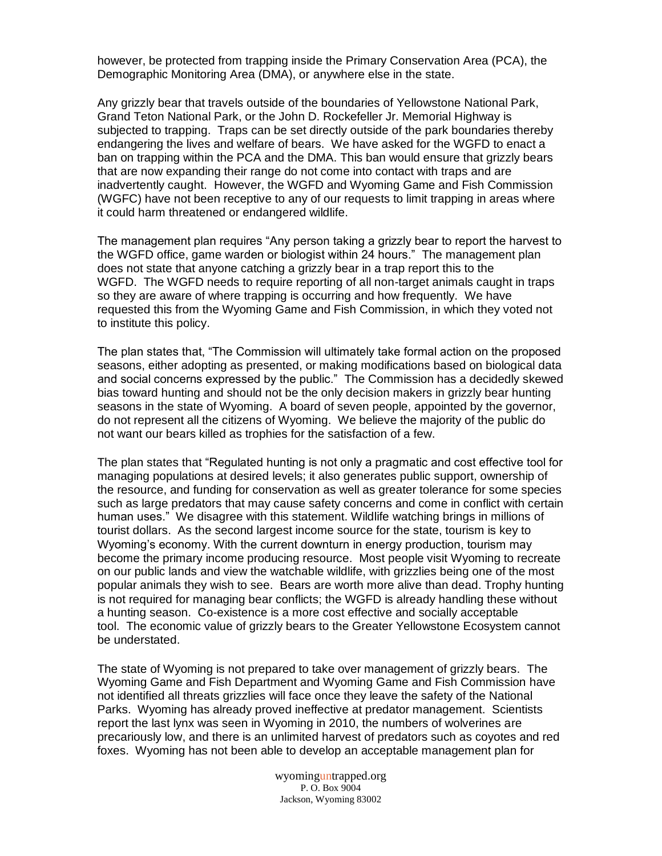however, be protected from trapping inside the Primary Conservation Area (PCA), the Demographic Monitoring Area (DMA), or anywhere else in the state.

Any grizzly bear that travels outside of the boundaries of Yellowstone National Park, Grand Teton National Park, or the John D. Rockefeller Jr. Memorial Highway is subjected to trapping. Traps can be set directly outside of the park boundaries thereby endangering the lives and welfare of bears. We have asked for the WGFD to enact a ban on trapping within the PCA and the DMA. This ban would ensure that grizzly bears that are now expanding their range do not come into contact with traps and are inadvertently caught. However, the WGFD and Wyoming Game and Fish Commission (WGFC) have not been receptive to any of our requests to limit trapping in areas where it could harm threatened or endangered wildlife.

The management plan requires "Any person taking a grizzly bear to report the harvest to the WGFD office, game warden or biologist within 24 hours." The management plan does not state that anyone catching a grizzly bear in a trap report this to the WGFD. The WGFD needs to require reporting of all non-target animals caught in traps so they are aware of where trapping is occurring and how frequently. We have requested this from the Wyoming Game and Fish Commission, in which they voted not to institute this policy.

The plan states that, "The Commission will ultimately take formal action on the proposed seasons, either adopting as presented, or making modifications based on biological data and social concerns expressed by the public." The Commission has a decidedly skewed bias toward hunting and should not be the only decision makers in grizzly bear hunting seasons in the state of Wyoming. A board of seven people, appointed by the governor, do not represent all the citizens of Wyoming. We believe the majority of the public do not want our bears killed as trophies for the satisfaction of a few.

The plan states that "Regulated hunting is not only a pragmatic and cost effective tool for managing populations at desired levels; it also generates public support, ownership of the resource, and funding for conservation as well as greater tolerance for some species such as large predators that may cause safety concerns and come in conflict with certain human uses." We disagree with this statement. Wildlife watching brings in millions of tourist dollars. As the second largest income source for the state, tourism is key to Wyoming's economy. With the current downturn in energy production, tourism may become the primary income producing resource. Most people visit Wyoming to recreate on our public lands and view the watchable wildlife, with grizzlies being one of the most popular animals they wish to see. Bears are worth more alive than dead. Trophy hunting is not required for managing bear conflicts; the WGFD is already handling these without a hunting season. Co-existence is a more cost effective and socially acceptable tool. The economic value of grizzly bears to the Greater Yellowstone Ecosystem cannot be understated.

The state of Wyoming is not prepared to take over management of grizzly bears. The Wyoming Game and Fish Department and Wyoming Game and Fish Commission have not identified all threats grizzlies will face once they leave the safety of the National Parks. Wyoming has already proved ineffective at predator management. Scientists report the last lynx was seen in Wyoming in 2010, the numbers of wolverines are precariously low, and there is an unlimited harvest of predators such as coyotes and red foxes. Wyoming has not been able to develop an acceptable management plan for

> wyominguntrapped.org P. O. Box 9004 Jackson, Wyoming 83002